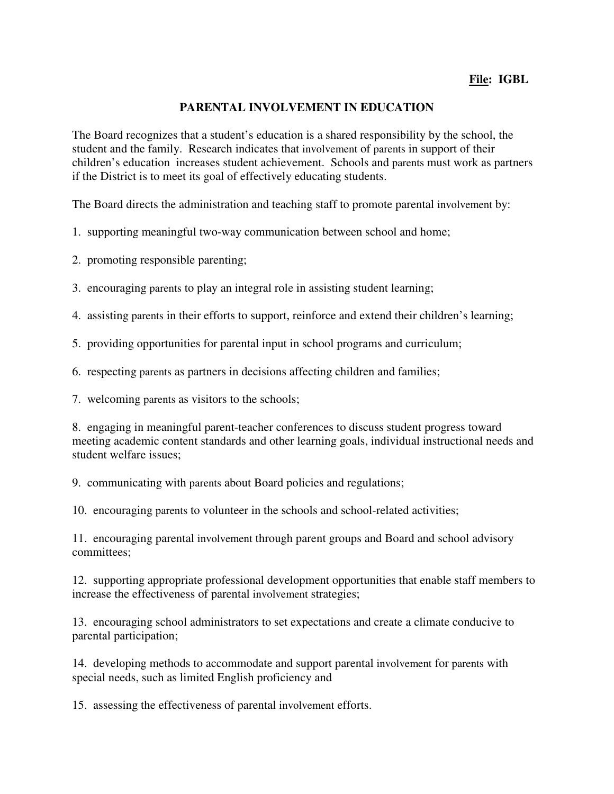## **PARENTAL INVOLVEMENT IN EDUCATION**

The Board recognizes that a student's education is a shared responsibility by the school, the student and the family. Research indicates that involvement of parents in support of their children's education increases student achievement. Schools and parents must work as partners if the District is to meet its goal of effectively educating students.

The Board directs the administration and teaching staff to promote parental involvement by:

1. supporting meaningful two-way communication between school and home;

2. promoting responsible parenting;

3. encouraging parents to play an integral role in assisting student learning;

4. assisting parents in their efforts to support, reinforce and extend their children's learning;

5. providing opportunities for parental input in school programs and curriculum;

6. respecting parents as partners in decisions affecting children and families;

7. welcoming parents as visitors to the schools;

8. engaging in meaningful parent-teacher conferences to discuss student progress toward meeting academic content standards and other learning goals, individual instructional needs and student welfare issues;

9. communicating with parents about Board policies and regulations;

10. encouraging parents to volunteer in the schools and school-related activities;

11. encouraging parental involvement through parent groups and Board and school advisory committees;

12. supporting appropriate professional development opportunities that enable staff members to increase the effectiveness of parental involvement strategies;

13. encouraging school administrators to set expectations and create a climate conducive to parental participation;

14. developing methods to accommodate and support parental involvement for parents with special needs, such as limited English proficiency and

15. assessing the effectiveness of parental involvement efforts.